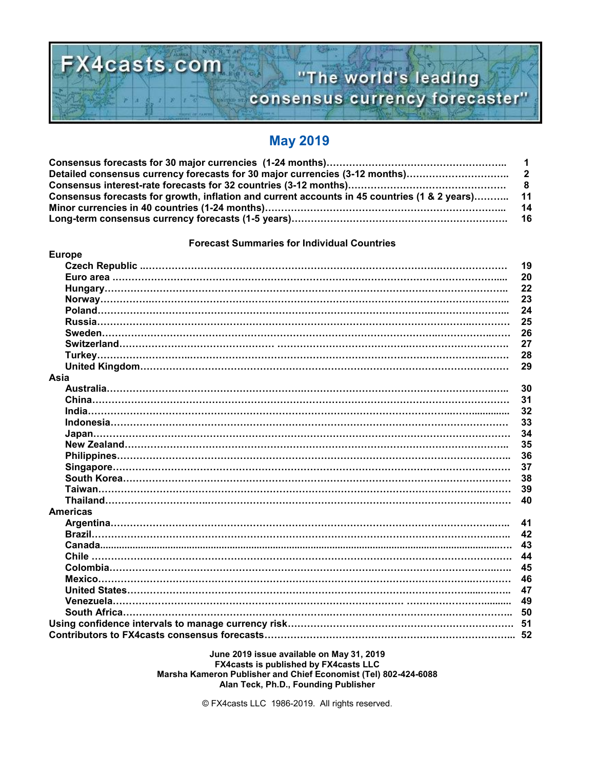# **FX4casts.com** "The world's leading consensus currency forecaster"

### **May 2019**

| Consensus forecasts for growth, inflation and current accounts in 45 countries (1 & 2 years) 11 |      |
|-------------------------------------------------------------------------------------------------|------|
|                                                                                                 | - 14 |
|                                                                                                 |      |

#### **Forecast Summaries for Individual Countries**

| <b>Europe</b>   |    |
|-----------------|----|
|                 | 19 |
|                 | 20 |
|                 | 22 |
|                 | 23 |
|                 | 24 |
|                 | 25 |
|                 | 26 |
|                 | 27 |
|                 | 28 |
|                 | 29 |
| Asia            |    |
|                 | 30 |
|                 | 31 |
|                 | 32 |
|                 | 33 |
|                 | 34 |
|                 | 35 |
|                 | 36 |
|                 | 37 |
|                 | 38 |
|                 | 39 |
| Thailand.       | 40 |
|                 |    |
| <b>Americas</b> |    |
|                 | 41 |
|                 | 42 |
|                 | 43 |
|                 | 44 |
|                 | 45 |
|                 | 46 |
|                 | 47 |
|                 | 49 |
|                 | 50 |
|                 |    |
|                 |    |

#### **June 2019 issue available on May 31, 2019 FX4casts is published by FX4casts LLC Marsha Kameron Publisher and Chief Economist (Tel) 802-424-6088 Alan Teck, Ph.D., Founding Publisher**

© FX4casts LLC 1986-2019. All rights reserved.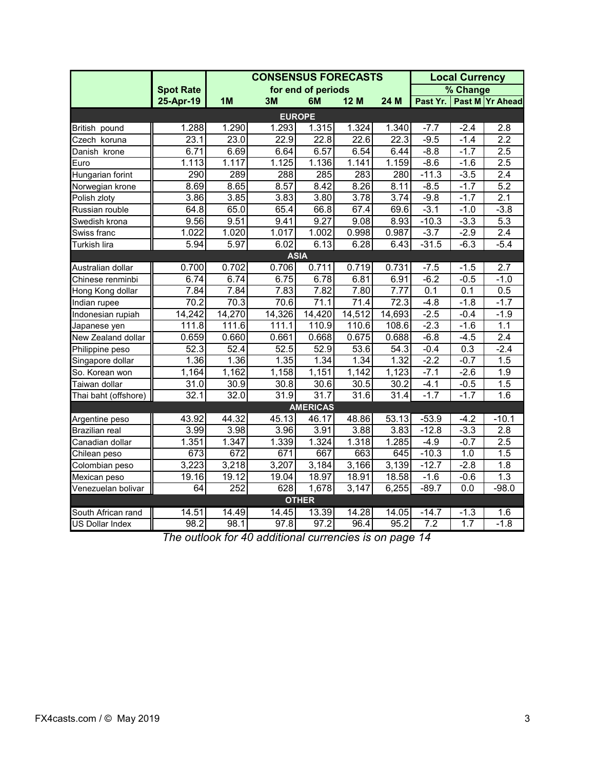|                        |                  | <b>CONSENSUS FORECASTS</b> |        |                   |        | <b>Local Currency</b> |         |                  |                              |
|------------------------|------------------|----------------------------|--------|-------------------|--------|-----------------------|---------|------------------|------------------------------|
|                        | <b>Spot Rate</b> | for end of periods         |        |                   |        | % Change              |         |                  |                              |
|                        | 25-Apr-19        | 1M                         | 3M     | 6M                | 12 M   | 24 M                  |         |                  | Past Yr.   Past M   Yr Ahead |
| <b>EUROPE</b>          |                  |                            |        |                   |        |                       |         |                  |                              |
| British pound          | 1.288            | 1.290                      | 1.293  | 1.315             | 1.324  | 1.340                 | $-7.7$  | $-2.4$           | 2.8                          |
| Czech koruna           | 23.1             | 23.0                       | 22.9   | 22.8              | 22.6   | $\overline{22.3}$     | $-9.5$  | $-1.4$           | 2.2                          |
| Danish krone           | 6.71             | 6.69                       | 6.64   | 6.57              | 6.54   | 6.44                  | $-8.8$  | $-1.7$           | 2.5                          |
| Euro                   | 1.113            | 1.117                      | 1.125  | 1.136             | 1.141  | 1.159                 | $-8.6$  | $-1.6$           | 2.5                          |
| Hungarian forint       | 290              | 289                        | 288    | 285               | 283    | 280                   | $-11.3$ | $-3.5$           | $\overline{2.4}$             |
| Norwegian krone        | 8.69             | 8.65                       | 8.57   | 8.42              | 8.26   | 8.11                  | $-8.5$  | $-1.7$           | 5.2                          |
| Polish zloty           | 3.86             | 3.85                       | 3.83   | 3.80              | 3.78   | 3.74                  | $-9.8$  | $-1.7$           | 2.1                          |
| Russian rouble         | 64.8             | 65.0                       | 65.4   | 66.8              | 67.4   | 69.6                  | $-3.1$  | $-1.0$           | $-3.8$                       |
| Swedish krona          | 9.56             | 9.51                       | 9.41   | 9.27              | 9.08   | 8.93                  | $-10.3$ | $-3.3$           | 5.3                          |
| Swiss franc            | 1.022            | 1.020                      | 1.017  | 1.002             | 0.998  | 0.987                 | $-3.7$  | $-2.9$           | $\overline{2.4}$             |
| Turkish lira           | 5.94             | 5.97                       | 6.02   | 6.13              | 6.28   | 6.43                  | $-31.5$ | $-6.3$           | $-5.4$                       |
|                        |                  |                            |        | <b>ASIA</b>       |        |                       |         |                  |                              |
| Australian dollar      | 0.700            | 0.702                      | 0.706  | 0.711             | 0.719  | 0.731                 | $-7.5$  | $-1.5$           | 2.7                          |
| Chinese renminbi       | 6.74             | 6.74                       | 6.75   | 6.78              | 6.81   | 6.91                  | $-6.2$  | $-0.5$           | $-1.0$                       |
| Hong Kong dollar       | 7.84             | 7.84                       | 7.83   | 7.82              | 7.80   | 7.77                  | 0.1     | 0.1              | 0.5                          |
| Indian rupee           | 70.2             | 70.3                       | 70.6   | 71.1              | 71.4   | 72.3                  | $-4.8$  | $-1.8$           | $-1.7$                       |
| Indonesian rupiah      | 14,242           | 14,270                     | 14,326 | 14,420            | 14,512 | 14,693                | $-2.5$  | $-0.4$           | $-1.9$                       |
| Japanese yen           | 111.8            | $\overline{1}11.6$         | 111.1  | 110.9             | 110.6  | 108.6                 | $-2.3$  | $-1.6$           | $\overline{1.1}$             |
| New Zealand dollar     | 0.659            | 0.660                      | 0.661  | 0.668             | 0.675  | 0.688                 | $-6.8$  | $-4.5$           | $\overline{2.4}$             |
| Philippine peso        | 52.3             | 52.4                       | 52.5   | 52.9              | 53.6   | 54.3                  | $-0.4$  | 0.3              | $-2.4$                       |
| Singapore dollar       | 1.36             | 1.36                       | 1.35   | 1.34              | 1.34   | 1.32                  | $-2.2$  | $-0.7$           | 1.5                          |
| So. Korean won         | 1,164            | 1,162                      | 1,158  | 1,151             | 1,142  | 1,123                 | $-7.1$  | $-2.6$           | 1.9                          |
| Taiwan dollar          | 31.0             | 30.9                       | 30.8   | 30.6              | 30.5   | 30.2                  | $-4.1$  | $-0.5$           | 1.5                          |
| Thai baht (offshore)   | 32.1             | 32.0                       | 31.9   | $\overline{31.7}$ | 31.6   | 31.4                  | $-1.7$  | $-1.7$           | 1.6                          |
|                        |                  |                            |        | <b>AMERICAS</b>   |        |                       |         |                  |                              |
| Argentine peso         | 43.92            | 44.32                      | 45.13  | 46.17             | 48.86  | 53.13                 | $-53.9$ | $-4.2$           | $-10.1$                      |
| Brazilian real         | 3.99             | 3.98                       | 3.96   | 3.91              | 3.88   | 3.83                  | $-12.8$ | $-3.3$           | 2.8                          |
| Canadian dollar        | 1.351            | 1.347                      | 1.339  | 1.324             | 1.318  | 1.285                 | $-4.9$  | $-0.7$           | 2.5                          |
| Chilean peso           | 673              | $\overline{672}$           | 671    | 667               | 663    | 645                   | $-10.3$ | 1.0              | 1.5                          |
| Colombian peso         | 3,223            | 3,218                      | 3,207  | 3,184             | 3,166  | 3,139                 | $-12.7$ | $-2.8$           | $\overline{1.8}$             |
| Mexican peso           | 19.16            | 19.12                      | 19.04  | 18.97             | 18.91  | 18.58                 | $-1.6$  | $-0.6$           | $\overline{1.3}$             |
| Venezuelan bolivar     | 64               | 252                        | 628    | 1,678             | 3,147  | 6,255                 | $-89.7$ | $\overline{0.0}$ | $-98.0$                      |
| <b>OTHER</b>           |                  |                            |        |                   |        |                       |         |                  |                              |
| South African rand     | 14.51            | 14.49                      | 14.45  | 13.39             | 14.28  | 14.05                 | $-14.7$ | $-1.3$           | $\overline{1.6}$             |
| <b>US Dollar Index</b> | 98.2             | 98.1                       | 97.8   | 97.2              | 96.4   | 95.2                  | 7.2     | 1.7              | $-1.8$                       |

*The outlook for 40 additional currencies is on page 14*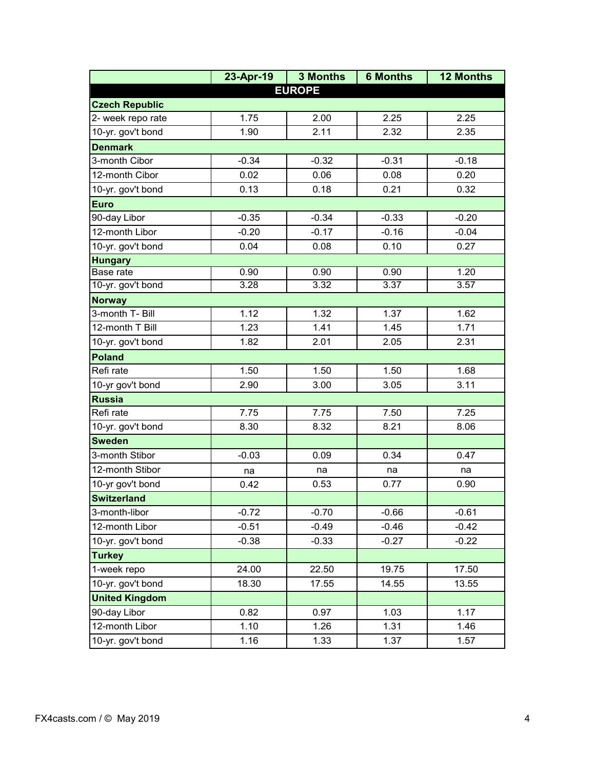|                       | 23-Apr-19     | <b>3 Months</b> | <b>6 Months</b> | <b>12 Months</b> |  |  |  |  |
|-----------------------|---------------|-----------------|-----------------|------------------|--|--|--|--|
|                       | <b>EUROPE</b> |                 |                 |                  |  |  |  |  |
| <b>Czech Republic</b> |               |                 |                 |                  |  |  |  |  |
| 2- week repo rate     | 1.75          | 2.00            | 2.25            | 2.25             |  |  |  |  |
| 10-yr. gov't bond     | 1.90          | 2.11            | 2.32            | 2.35             |  |  |  |  |
| <b>Denmark</b>        |               |                 |                 |                  |  |  |  |  |
| 3-month Cibor         | $-0.34$       | $-0.32$         | $-0.31$         | $-0.18$          |  |  |  |  |
| 12-month Cibor        | 0.02          | 0.06            | 0.08            | 0.20             |  |  |  |  |
| 10-yr. gov't bond     | 0.13          | 0.18            | 0.21            | 0.32             |  |  |  |  |
| <b>Euro</b>           |               |                 |                 |                  |  |  |  |  |
| 90-day Libor          | $-0.35$       | $-0.34$         | $-0.33$         | $-0.20$          |  |  |  |  |
| 12-month Libor        | $-0.20$       | $-0.17$         | $-0.16$         | $-0.04$          |  |  |  |  |
| 10-yr. gov't bond     | 0.04          | 0.08            | 0.10            | 0.27             |  |  |  |  |
| <b>Hungary</b>        |               |                 |                 |                  |  |  |  |  |
| Base rate             | 0.90          | 0.90            | 0.90            | 1.20             |  |  |  |  |
| 10-yr. gov't bond     | 3.28          | 3.32            | 3.37            | 3.57             |  |  |  |  |
| <b>Norway</b>         |               |                 |                 |                  |  |  |  |  |
| 3-month T- Bill       | 1.12          | 1.32            | 1.37            | 1.62             |  |  |  |  |
| 12-month T Bill       | 1.23          | 1.41            | 1.45            | 1.71             |  |  |  |  |
| 10-yr. gov't bond     | 1.82          | 2.01            | 2.05            | 2.31             |  |  |  |  |
| <b>Poland</b>         |               |                 |                 |                  |  |  |  |  |
| Refi rate             | 1.50          | 1.50            | 1.50            | 1.68             |  |  |  |  |
| 10-yr gov't bond      | 2.90          | 3.00            | 3.05            | 3.11             |  |  |  |  |
| <b>Russia</b>         |               |                 |                 |                  |  |  |  |  |
| Refi rate             | 7.75          | 7.75            | 7.50            | 7.25             |  |  |  |  |
| 10-yr. gov't bond     | 8.30          | 8.32            | 8.21            | 8.06             |  |  |  |  |
| <b>Sweden</b>         |               |                 |                 |                  |  |  |  |  |
| 3-month Stibor        | $-0.03$       | 0.09            | 0.34            | 0.47             |  |  |  |  |
| 12-month Stibor       | na            | na              | na              | na               |  |  |  |  |
| 10-yr gov't bond      | 0.42          | 0.53            | 0.77            | 0.90             |  |  |  |  |
| <b>Switzerland</b>    |               |                 |                 |                  |  |  |  |  |
| 3-month-libor         | $-0.72$       | $-0.70$         | $-0.66$         | $-0.61$          |  |  |  |  |
| 12-month Libor        | $-0.51$       | $-0.49$         | $-0.46$         | $-0.42$          |  |  |  |  |
| 10-yr. gov't bond     | $-0.38$       | $-0.33$         | $-0.27$         | $-0.22$          |  |  |  |  |
| <b>Turkey</b>         |               |                 |                 |                  |  |  |  |  |
| 1-week repo           | 24.00         | 22.50           | 19.75           | 17.50            |  |  |  |  |
| 10-yr. gov't bond     | 18.30         | 17.55           | 14.55           | 13.55            |  |  |  |  |
| <b>United Kingdom</b> |               |                 |                 |                  |  |  |  |  |
| 90-day Libor          | 0.82          | 0.97            | 1.03            | 1.17             |  |  |  |  |
| 12-month Libor        | 1.10          | 1.26            | 1.31            | 1.46             |  |  |  |  |
| 10-yr. gov't bond     | 1.16          | 1.33            | 1.37            | 1.57             |  |  |  |  |